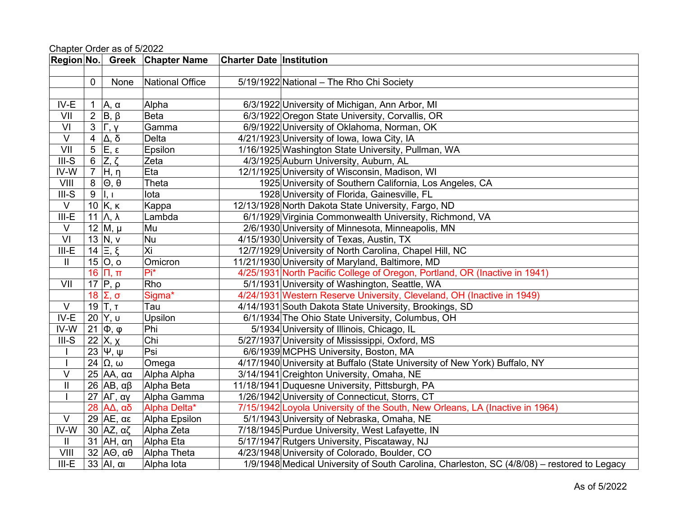| <b>Region No.</b>       |                |                                      | <b>Greek Chapter Name</b> | <b>Charter Date Institution</b> |                                                                                             |
|-------------------------|----------------|--------------------------------------|---------------------------|---------------------------------|---------------------------------------------------------------------------------------------|
|                         |                |                                      |                           |                                 |                                                                                             |
|                         | $\mathbf 0$    | None                                 | National Office           |                                 | 5/19/1922 National - The Rho Chi Society                                                    |
|                         |                |                                      |                           |                                 |                                                                                             |
| IV-E                    | 1              | Α, α                                 | Alpha                     |                                 | 6/3/1922 University of Michigan, Ann Arbor, MI                                              |
| VII                     | $\overline{2}$ | $B, \beta$                           | <b>Beta</b>               |                                 | 6/3/1922 Oregon State University, Corvallis, OR                                             |
| $\mathsf{VI}$           | 3              | $\Gamma, \gamma$                     | Gamma                     |                                 | 6/9/1922 University of Oklahoma, Norman, OK                                                 |
| $\vee$                  | $\overline{4}$ | Δ, δ                                 | <b>Delta</b>              |                                 | 4/21/1923 University of Iowa, Iowa City, IA                                                 |
| $\overline{\mathsf{V}}$ | 5              | $\overline{\mathsf{E},\mathfrak{e}}$ | Epsilon                   |                                 | 1/16/1925 Washington State University, Pullman, WA                                          |
| $III-S$                 | 6              | $Z, \zeta$                           | Zeta                      |                                 | 4/3/1925 Auburn University, Auburn, AL                                                      |
| IV-W                    | $\overline{7}$ | H, η                                 | Eta                       |                                 | 12/1/1925 University of Wisconsin, Madison, WI                                              |
| VIII                    | 8              | $\Theta$ , $\theta$                  | Theta                     |                                 | 1925 University of Southern California, Los Angeles, CA                                     |
| $III-S$                 | $9\,$          | $\mathbf{I}, \mathbf{I}$             | lota                      |                                 | 1928 University of Florida, Gainesville, FL                                                 |
| $\overline{\vee}$       |                | $10$ K, $\kappa$                     | Kappa                     |                                 | 12/13/1928 North Dakota State University, Fargo, ND                                         |
| $III-E$                 | 11             | $\Lambda$ , $\lambda$                | Lambda                    |                                 | 6/1/1929 Virginia Commonwealth University, Richmond, VA                                     |
| V                       |                | 12 $M, \mu$                          | Mu                        |                                 | 2/6/1930 University of Minnesota, Minneapolis, MN                                           |
| VI                      |                | 13 $N, V$                            | Nu                        |                                 | 4/15/1930 University of Texas, Austin, TX                                                   |
| $III-E$                 |                | $14 \nvert \Xi, \xi$                 | Xi                        |                                 | 12/7/1929 University of North Carolina, Chapel Hill, NC                                     |
| Ш                       |                | 15 $ O, o $                          | Omicron                   |                                 | 11/21/1930 University of Maryland, Baltimore, MD                                            |
|                         | 16             | $\Pi$ , $\Pi$                        | Pi*                       |                                 | 4/25/1931 North Pacific College of Oregon, Portland, OR (Inactive in 1941)                  |
| VII                     |                | $17$ $\overline{P}$ , $\rho$         | Rho                       |                                 | 5/1/1931 University of Washington, Seattle, WA                                              |
|                         | 18             | Σ, σ                                 | Sigma*                    |                                 | 4/24/1931 Western Reserve University, Cleveland, OH (Inactive in 1949)                      |
| $\vee$                  |                | 19 $ T, T$                           | Tau                       |                                 | 4/14/1931 South Dakota State University, Brookings, SD                                      |
| IV-E                    | 20             | Y, u                                 | Upsilon                   |                                 | 6/1/1934 The Ohio State University, Columbus, OH                                            |
| IV-W                    | 21             | $\Phi$ , $\phi$                      | Phi                       |                                 | 5/1934 University of Illinois, Chicago, IL                                                  |
| $III-S$                 | 22             | ĪΧ, <u>χ</u>                         | Chi                       |                                 | 5/27/1937 University of Mississippi, Oxford, MS                                             |
|                         |                | 23 $ \Psi, \Psi $                    | Psi                       |                                 | 6/6/1939 MCPHS University, Boston, MA                                                       |
|                         |                | $24 \Omega$ , $\omega$               | Omega                     |                                 | 4/17/1940 University at Buffalo (State University of New York) Buffalo, NY                  |
| $\vee$                  |                | 25 ΑΑ, αα                            | Alpha Alpha               |                                 | 3/14/1941 Creighton University, Omaha, NE                                                   |
| $\mathbf{I}$            |                | 26 AB, $αβ$                          | Alpha Beta                |                                 | 11/18/1941 Duquesne University, Pittsburgh, PA                                              |
|                         | 27             | ΑΓ, αγ                               | Alpha Gamma               |                                 | 1/26/1942 University of Connecticut, Storrs, CT                                             |
|                         | 28             | $A\Delta$ , αδ                       | Alpha Delta*              |                                 | 7/15/1942 Loyola University of the South, New Orleans, LA (Inactive in 1964)                |
| $\overline{\vee}$       |                | 29   $AE$ , αε                       | Alpha Epsilon             |                                 | 5/1/1943 University of Nebraska, Omaha, NE                                                  |
| IV-W                    |                | 30 AZ, $αζ$                          | Alpha Zeta                |                                 | 7/18/1945 Purdue University, West Lafayette, IN                                             |
| Ш                       |                | 31 $AH, \alpha \eta$                 | Alpha Eta                 |                                 | 5/17/1947 Rutgers University, Piscataway, NJ                                                |
| VIII                    |                | 32 $AO, \alpha\theta$                | Alpha Theta               |                                 | 4/23/1948 University of Colorado, Boulder, CO                                               |
| $III-E$                 |                | $33$ Al, $\alpha$                    | Alpha lota                |                                 | 1/9/1948 Medical University of South Carolina, Charleston, SC (4/8/08) – restored to Legacy |

Chapter Order as of 5/2022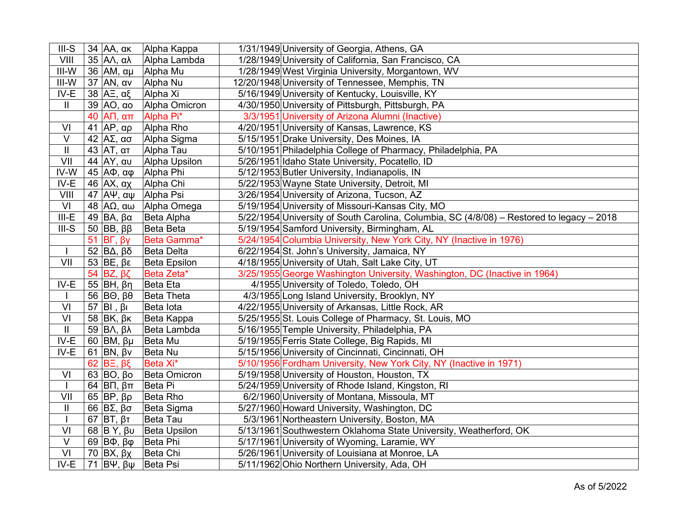| $III-S$                    | 34 AA, ακ                                              | Alpha Kappa       | 1/31/1949 University of Georgia, Athens, GA                                               |
|----------------------------|--------------------------------------------------------|-------------------|-------------------------------------------------------------------------------------------|
| VIII                       | 35 $A\Lambda$ , αλ                                     | Alpha Lambda      | 1/28/1949 University of California, San Francisco, CA                                     |
| $III-W$                    | 36 AM, αμ                                              | Alpha Mu          | 1/28/1949 West Virginia University, Morgantown, WV                                        |
| $III-W$                    | $37$ AN, $\alpha v$                                    | Alpha Nu          | 12/20/1948 University of Tennessee, Memphis, TN                                           |
| $IV-E$                     | 38   $A\equiv$ , αξ                                    | Alpha Xi          | 5/16/1949 University of Kentucky, Louisville, KY                                          |
| $\mathop{\rm II}\nolimits$ | 39 AO, αο                                              | Alpha Omicron     | 4/30/1950 University of Pittsburgh, Pittsburgh, PA                                        |
|                            | ATI, απ<br>40                                          | Alpha Pi*         | 3/3/1951 University of Arizona Alumni (Inactive)                                          |
| VI                         | $\overline{4}1$ AP, $\alpha\rho$                       | Alpha Rho         | 4/20/1951 University of Kansas, Lawrence, KS                                              |
| $\overline{\vee}$          | $42$ AΣ, ασ                                            | Alpha Sigma       | 5/15/1951 Drake University, Des Moines, IA                                                |
| $\vert\vert$               | 43 $AT,$ ατ                                            | Alpha Tau         | 5/10/1951 Philadelphia College of Pharmacy, Philadelphia, PA                              |
| VII                        | 44 AY, αυ                                              | Alpha Upsilon     | 5/26/1951 Idaho State University, Pocatello, ID                                           |
| $IV-W$                     | $45$ AΦ, αφ                                            | Alpha Phi         | 5/12/1953 Butler University, Indianapolis, IN                                             |
| $IV-E$                     | 46 $AX, \alpha$                                        | Alpha Chi         | 5/22/1953 Wayne State University, Detroit, MI                                             |
| VIII                       | $\overline{47}$ $\overline{A\Psi}$ , $\alpha\Psi$      | Alpha Psi         | 3/26/1954 University of Arizona, Tucson, AZ                                               |
| $\overline{V}$             | $\overline{48}$ A $\Omega$ , aw                        | Alpha Omega       | 5/19/1954 University of Missouri-Kansas City, MO                                          |
| $III-E$                    | 49 BA, $βα$                                            | Beta Alpha        | 5/22/1954 University of South Carolina, Columbia, SC (4/8/08) - Restored to legacy - 2018 |
| $III-S$                    | 50 BB, $\beta\beta$                                    | Beta Beta         | 5/19/1954 Samford University, Birmingham, AL                                              |
|                            | $\mathsf{B}\mathsf{\Gamma},\mathsf{B}\mathsf{y}$<br>51 | Beta Gamma*       | 5/24/1954 Columbia University, New York City, NY (Inactive in 1976)                       |
| $\mathbf{I}$               | 52 $\beta$ Δ, $\beta$ δ                                | Beta Delta        | 6/22/1954 St. John's University, Jamaica, NY                                              |
| $\overline{\mathsf{V}}$    | 53 BE, $βε$                                            | Beta Epsilon      | 4/18/1955 University of Utah, Salt Lake City, UT                                          |
|                            | $BZ, \beta\zeta$<br>54                                 | Beta Zeta*        | 3/25/1955 George Washington University, Washington, DC (Inactive in 1964)                 |
| IV-E                       | 55   BH, $β$ η                                         | Beta Eta          | 4/1955 University of Toledo, Toledo, OH                                                   |
|                            | 56   B $\Theta$ , $\beta\theta$                        | <b>Beta Theta</b> | 4/3/1955 Long Island University, Brooklyn, NY                                             |
| VI                         | 57 $\vert$ BI, $\beta$ <sub>I</sub>                    | Beta lota         | 4/22/1955 University of Arkansas, Little Rock, AR                                         |
| VI                         | 58 $BK, BK$                                            | Beta Kappa        | 5/25/1955 St. Louis College of Pharmacy, St. Louis, MO                                    |
| $\ensuremath{\mathsf{II}}$ | 59   ΒΛ, $βλ$                                          | Beta Lambda       | 5/16/1955 Temple University, Philadelphia, PA                                             |
| $IV-E$                     | 60 $ BM, \beta\mu$                                     | Beta Mu           | 5/19/1955 Ferris State College, Big Rapids, MI                                            |
| $IV-E$                     | 61 $ BN, \beta v$                                      | Beta Nu           | 5/15/1956 University of Cincinnati, Cincinnati, OH                                        |
|                            | $BE, B\xi$<br>62                                       | Beta Xi*          | 5/10/1956 Fordham University, New York City, NY (Inactive in 1971)                        |
| VI                         | 63 $BO$ , $Bo$                                         | Beta Omicron      | 5/19/1958 University of Houston, Houston, TX                                              |
| $\mathbf{I}$               | 64   ΒΠ, $βπ$                                          | Beta Pi           | 5/24/1959 University of Rhode Island, Kingston, RI                                        |
| VII                        | 65   BP, βρ                                            | Beta Rho          | 6/2/1960 University of Montana, Missoula, MT                                              |
| $\mathop{\rm II}\nolimits$ | 66   $B\Sigma$ , βσ                                    | Beta Sigma        | 5/27/1960 Howard University, Washington, DC                                               |
| $\mathbf{I}$               | 67   $BT$ , $\beta T$                                  | <b>Beta Tau</b>   | 5/3/1961 Northeastern University, Boston, MA                                              |
| VI                         | 68 $\vert$ B Y, $\beta$ u                              | Beta Upsilon      | 5/13/1961 Southwestern Oklahoma State University, Weatherford, OK                         |
| $\vee$                     | 69 $\vert$ B $\Phi$ , $\beta \phi$                     | Beta Phi          | 5/17/1961 University of Wyoming, Laramie, WY                                              |
| VI                         | 70 BX, $β$ x                                           | Beta Chi          | 5/26/1961 University of Louisiana at Monroe, LA                                           |
| $IV-E$                     | 71 $B\Psi$ , $B\Psi$                                   | Beta Psi          | 5/11/1962 Ohio Northern University, Ada, OH                                               |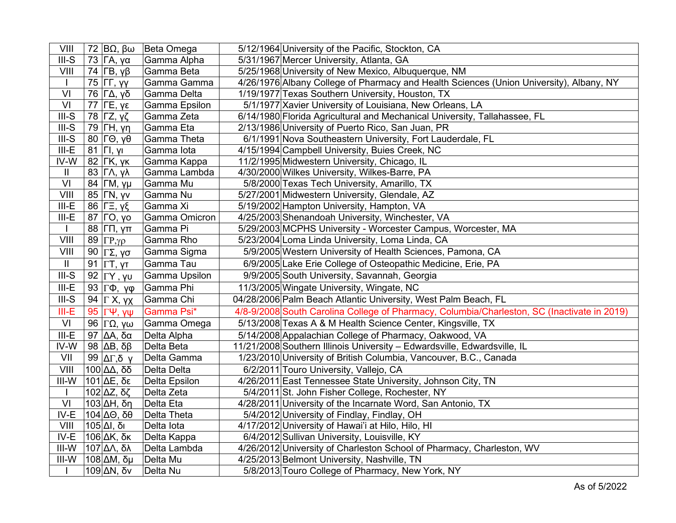| VIII                       | 72 $\beta$ Ω, βω                       | Beta Omega    | 5/12/1964 University of the Pacific, Stockton, CA                                           |
|----------------------------|----------------------------------------|---------------|---------------------------------------------------------------------------------------------|
| $III-S$                    | 73   ΓΑ, γα                            | Gamma Alpha   | 5/31/1967 Mercer University, Atlanta, GA                                                    |
| VIII                       | 74 $\Gamma$ B, $\gamma$ $\beta$        | Gamma Beta    | 5/25/1968 University of New Mexico, Albuquerque, NM                                         |
|                            | 75  ГГ, үү                             | Gamma Gamma   | 4/26/1976 Albany College of Pharmacy and Health Sciences (Union University), Albany, NY     |
| $\overline{VI}$            | 76 ΓΔ, γδ                              | Gamma Delta   | 1/19/1977 Texas Southern University, Houston, TX                                            |
| VI                         | <b>77 ΓΕ, γε</b>                       | Gamma Epsilon | 5/1/1977 Xavier University of Louisiana, New Orleans, LA                                    |
| $III-S$                    | 78 $\Gamma$ Z, yζ                      | Gamma Zeta    | 6/14/1980 Florida Agricultural and Mechanical University, Tallahassee, FL                   |
| $III-S$                    | 79 $\Gamma$ H, yn                      | Gamma Eta     | 2/13/1986 University of Puerto Rico, San Juan, PR                                           |
| $III-S$                    | $80$   Γ $\Theta$ , γ $\theta$         | Gamma Theta   | 6/1/1991 Nova Southeastern University, Fort Lauderdale, FL                                  |
| $III-E$                    | 81   FI, yı                            | Gamma lota    | 4/15/1994 Campbell University, Buies Creek, NC                                              |
| IV-W                       | 82 $\mathsf{FK}, \mathsf{γ}\mathsf{κ}$ | Gamma Kappa   | 11/2/1995 Midwestern University, Chicago, IL                                                |
| $\mathbf{II}$              | 83 ΓΛ, γλ                              | Gamma Lambda  | 4/30/2000 Wilkes University, Wilkes-Barre, PA                                               |
| VI                         | 84 ГМ, үµ                              | Gamma Mu      | 5/8/2000 Texas Tech University, Amarillo, TX                                                |
| VIII                       | 85   ΓΝ, γν                            | Gamma Nu      | 5/27/2001 Midwestern University, Glendale, AZ                                               |
| $III-E$                    | 86  ΓΞ, γξ                             | Gamma Xi      | 5/19/2002 Hampton University, Hampton, VA                                                   |
| $III-E$                    | 87 ГО, уо                              | Gamma Omicron | 4/25/2003 Shenandoah University, Winchester, VA                                             |
| $\mathbf{I}$               | 88  ГП, үп                             | Gamma Pi      | 5/29/2003 MCPHS University - Worcester Campus, Worcester, MA                                |
| VIII                       | 89 $\Gamma P, \gamma \rho$             | Gamma Rho     | 5/23/2004 Loma Linda University, Loma Linda, CA                                             |
| VIII                       | 90   $ΓΣ$ , γσ                         | Gamma Sigma   | 5/9/2005 Western University of Health Sciences, Pamona, CA                                  |
| $\ensuremath{\mathsf{II}}$ | 91   Γ $T$ , γτ                        | Gamma Tau     | 6/9/2005 Lake Erie College of Osteopathic Medicine, Erie, PA                                |
| $III-S$                    | 92 $ \Gamma Y, \gamma U $              | Gamma Upsilon | 9/9/2005 South University, Savannah, Georgia                                                |
| $III-E$                    | 93   $\Gamma$ Φ, γφ                    | Gamma Phi     | 11/3/2005 Wingate University, Wingate, NC                                                   |
| $III-S$                    | 94 $\Gamma$ X, $\gamma$ X              | Gamma Chi     | 04/28/2006 Palm Beach Atlantic University, West Palm Beach, FL                              |
| $III-E$                    | 95 $\Gamma\Psi$ , γψ                   | Gamma Psi*    | 4/8-9/2008 South Carolina College of Pharmacy, Columbia/Charleston, SC (Inactivate in 2019) |
| VI                         | 96  ΓΩ, γω                             | Gamma Omega   | 5/13/2008 Texas A & M Health Science Center, Kingsville, TX                                 |
| $III-E$                    | 97 $\Delta$ A, δα                      | Delta Alpha   | 5/14/2008 Appalachian College of Pharmacy, Oakwood, VA                                      |
| IV-W                       | 98 $\Delta$ B, δβ                      | Delta Beta    | 11/21/2008 Southern Illinois University - Edwardsville, Edwardsville, IL                    |
| VII                        | 99 ΔΓ,δ γ                              | Delta Gamma   | 1/23/2010 University of British Columbia, Vancouver, B.C., Canada                           |
| VIII                       | $100 \Delta\Delta, \delta\delta$       | Delta Delta   | 6/2/2011 Touro University, Vallejo, CA                                                      |
| $III-W$                    | $101$ ΔΕ, δε                           | Delta Epsilon | 4/26/2011 East Tennessee State University, Johnson City, TN                                 |
| $\mathbf{I}$               | $102$ ΔZ, δζ                           | Delta Zeta    | 5/4/2011 St. John Fisher College, Rochester, NY                                             |
| VI                         | $103$ ΔH, δη                           | Delta Eta     | 4/28/2011 University of the Incarnate Word, San Antonio, TX                                 |
| IV-E                       | $104$ ΔΘ, δθ                           | Delta Theta   | 5/4/2012 University of Findlay, Findlay, OH                                                 |
| VIII                       | 105 ΔΙ, δι                             | Delta lota    | 4/17/2012 University of Hawai'i at Hilo, Hilo, HI                                           |
| IV-E                       | $106$ ΔK, δκ                           | Delta Kappa   | 6/4/2012 Sullivan University, Louisville, KY                                                |
| $III-W$                    | 107 ΔΛ, δλ                             | Delta Lambda  | 4/26/2012 University of Charleston School of Pharmacy, Charleston, WV                       |
| $III-W$                    | $108$ ΔM, δμ                           | Delta Mu      | 4/25/2013 Belmont University, Nashville, TN                                                 |
|                            | $109$ ΔN, δν                           | Delta Nu      | 5/8/2013 Touro College of Pharmacy, New York, NY                                            |